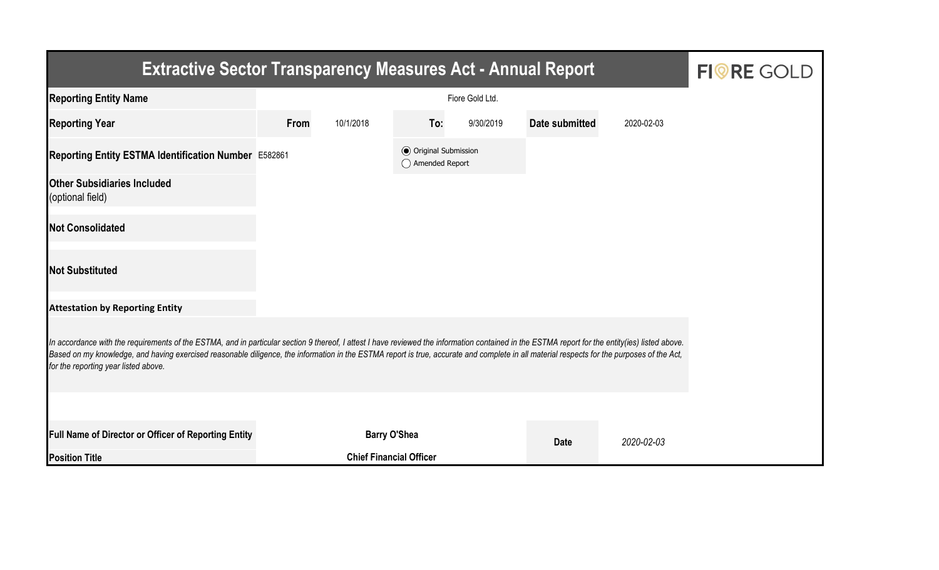| <b>Extractive Sector Transparency Measures Act - Annual Report</b>                                                                                                                                                                                                                                                                                                                                                                    | <b>FIORE GOLD</b> |                                |                                                  |           |                |            |  |  |  |  |
|---------------------------------------------------------------------------------------------------------------------------------------------------------------------------------------------------------------------------------------------------------------------------------------------------------------------------------------------------------------------------------------------------------------------------------------|-------------------|--------------------------------|--------------------------------------------------|-----------|----------------|------------|--|--|--|--|
| <b>Reporting Entity Name</b>                                                                                                                                                                                                                                                                                                                                                                                                          |                   |                                |                                                  |           |                |            |  |  |  |  |
| <b>Reporting Year</b>                                                                                                                                                                                                                                                                                                                                                                                                                 | From              | 10/1/2018                      | To:                                              | 9/30/2019 | Date submitted | 2020-02-03 |  |  |  |  |
| Reporting Entity ESTMA Identification Number E582861                                                                                                                                                                                                                                                                                                                                                                                  |                   |                                | <b>◎</b> Original Submission<br>◯ Amended Report |           |                |            |  |  |  |  |
| <b>Other Subsidiaries Included</b><br>(optional field)                                                                                                                                                                                                                                                                                                                                                                                |                   |                                |                                                  |           |                |            |  |  |  |  |
| <b>Not Consolidated</b>                                                                                                                                                                                                                                                                                                                                                                                                               |                   |                                |                                                  |           |                |            |  |  |  |  |
| <b>Not Substituted</b>                                                                                                                                                                                                                                                                                                                                                                                                                |                   |                                |                                                  |           |                |            |  |  |  |  |
| <b>Attestation by Reporting Entity</b>                                                                                                                                                                                                                                                                                                                                                                                                |                   |                                |                                                  |           |                |            |  |  |  |  |
| In accordance with the requirements of the ESTMA, and in particular section 9 thereof, I attest I have reviewed the information contained in the ESTMA report for the entity(ies) listed above.<br>Based on my knowledge, and having exercised reasonable diligence, the information in the ESTMA report is true, accurate and complete in all material respects for the purposes of the Act,<br>for the reporting year listed above. |                   |                                |                                                  |           |                |            |  |  |  |  |
|                                                                                                                                                                                                                                                                                                                                                                                                                                       |                   |                                |                                                  |           |                |            |  |  |  |  |
| Full Name of Director or Officer of Reporting Entity                                                                                                                                                                                                                                                                                                                                                                                  |                   | <b>Barry O'Shea</b>            |                                                  |           | <b>Date</b>    | 2020-02-03 |  |  |  |  |
| <b>Position Title</b>                                                                                                                                                                                                                                                                                                                                                                                                                 |                   | <b>Chief Financial Officer</b> |                                                  |           |                |            |  |  |  |  |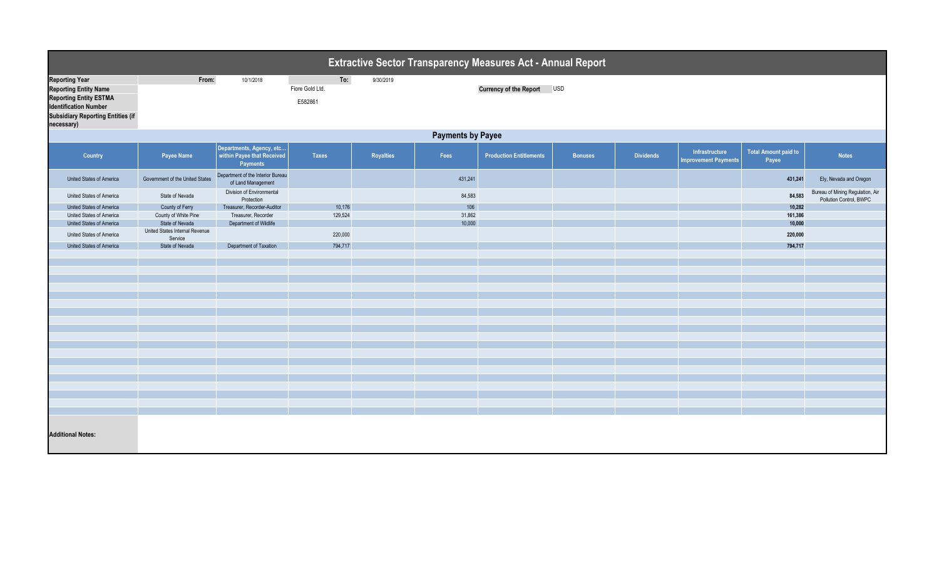| <b>Extractive Sector Transparency Measures Act - Annual Report</b>                                                                                                               |                                           |                                                                           |                                   |           |         |                                |                |                  |                                               |                                      |                                                             |  |
|----------------------------------------------------------------------------------------------------------------------------------------------------------------------------------|-------------------------------------------|---------------------------------------------------------------------------|-----------------------------------|-----------|---------|--------------------------------|----------------|------------------|-----------------------------------------------|--------------------------------------|-------------------------------------------------------------|--|
| <b>Reporting Year</b><br><b>Reporting Entity Name</b><br><b>Reporting Entity ESTMA</b><br><b>Identification Number</b><br><b>Subsidiary Reporting Entities (if</b><br>necessary) | From:                                     | 10/1/2018                                                                 | To:<br>Fiore Gold Ltd.<br>E582861 | 9/30/2019 |         | Currency of the Report USD     |                |                  |                                               |                                      |                                                             |  |
|                                                                                                                                                                                  | <b>Payments by Payee</b>                  |                                                                           |                                   |           |         |                                |                |                  |                                               |                                      |                                                             |  |
| Country                                                                                                                                                                          | Payee Name                                | Departments, Agency, etc<br>within Payee that Received<br><b>Payments</b> | <b>Taxes</b>                      | Royalties | Fees    | <b>Production Entitlements</b> | <b>Bonuses</b> | <b>Dividends</b> | Infrastructure<br><b>Improvement Payments</b> | <b>Total Amount paid to</b><br>Payee | <b>Notes</b>                                                |  |
| United States of America                                                                                                                                                         | Government of the United States           | Department of the Interior Bureau<br>of Land Management                   |                                   |           | 431,241 |                                |                |                  |                                               | 431,241                              | Ely, Nevada and Oregon                                      |  |
| United States of America                                                                                                                                                         | State of Nevada                           | Division of Environmental<br>Protection                                   |                                   |           | 84,583  |                                |                |                  |                                               | 84,583                               | Bureau of Mining Regulation, Air<br>Pollution Control, BWPC |  |
| United States of America                                                                                                                                                         | County of Ferry                           | Treasurer, Recorder-Auditor                                               | 10,176                            |           | 106     |                                |                |                  |                                               | 10,282                               |                                                             |  |
| United States of America                                                                                                                                                         | County of White Pine                      | Treasurer, Recorder                                                       | 129,524                           |           | 31,862  |                                |                |                  |                                               | 161,386                              |                                                             |  |
| United States of America                                                                                                                                                         | State of Nevada                           | Department of Wildlife                                                    |                                   |           | 10,000  |                                |                |                  |                                               | 10,000                               |                                                             |  |
| United States of America                                                                                                                                                         | United States Internal Revenue<br>Service |                                                                           | 220,000                           |           |         |                                |                |                  |                                               | 220,000                              |                                                             |  |
| United States of America                                                                                                                                                         | State of Nevada                           | Department of Taxation                                                    | 794,717                           |           |         |                                |                |                  |                                               | 794,717                              |                                                             |  |
|                                                                                                                                                                                  |                                           |                                                                           |                                   |           |         |                                |                |                  |                                               |                                      |                                                             |  |
|                                                                                                                                                                                  |                                           |                                                                           |                                   |           |         |                                |                |                  |                                               |                                      |                                                             |  |
|                                                                                                                                                                                  |                                           |                                                                           |                                   |           |         |                                |                |                  |                                               |                                      |                                                             |  |
|                                                                                                                                                                                  |                                           |                                                                           |                                   |           |         |                                |                |                  |                                               |                                      |                                                             |  |
|                                                                                                                                                                                  |                                           |                                                                           |                                   |           |         |                                |                |                  |                                               |                                      |                                                             |  |
|                                                                                                                                                                                  |                                           |                                                                           |                                   |           |         |                                |                |                  |                                               |                                      |                                                             |  |
|                                                                                                                                                                                  |                                           |                                                                           |                                   |           |         |                                |                |                  |                                               |                                      |                                                             |  |
|                                                                                                                                                                                  |                                           |                                                                           |                                   |           |         |                                |                |                  |                                               |                                      |                                                             |  |
|                                                                                                                                                                                  |                                           |                                                                           |                                   |           |         |                                |                |                  |                                               |                                      |                                                             |  |
|                                                                                                                                                                                  |                                           |                                                                           |                                   |           |         |                                |                |                  |                                               |                                      |                                                             |  |
|                                                                                                                                                                                  |                                           |                                                                           |                                   |           |         |                                |                |                  |                                               |                                      |                                                             |  |
|                                                                                                                                                                                  |                                           |                                                                           |                                   |           |         |                                |                |                  |                                               |                                      |                                                             |  |
|                                                                                                                                                                                  |                                           |                                                                           |                                   |           |         |                                |                |                  |                                               |                                      |                                                             |  |
|                                                                                                                                                                                  |                                           |                                                                           |                                   |           |         |                                |                |                  |                                               |                                      |                                                             |  |
|                                                                                                                                                                                  |                                           |                                                                           |                                   |           |         |                                |                |                  |                                               |                                      |                                                             |  |
|                                                                                                                                                                                  |                                           |                                                                           |                                   |           |         |                                |                |                  |                                               |                                      |                                                             |  |
|                                                                                                                                                                                  |                                           |                                                                           |                                   |           |         |                                |                |                  |                                               |                                      |                                                             |  |
|                                                                                                                                                                                  |                                           |                                                                           |                                   |           |         |                                |                |                  |                                               |                                      |                                                             |  |
| <b>Additional Notes:</b>                                                                                                                                                         |                                           |                                                                           |                                   |           |         |                                |                |                  |                                               |                                      |                                                             |  |